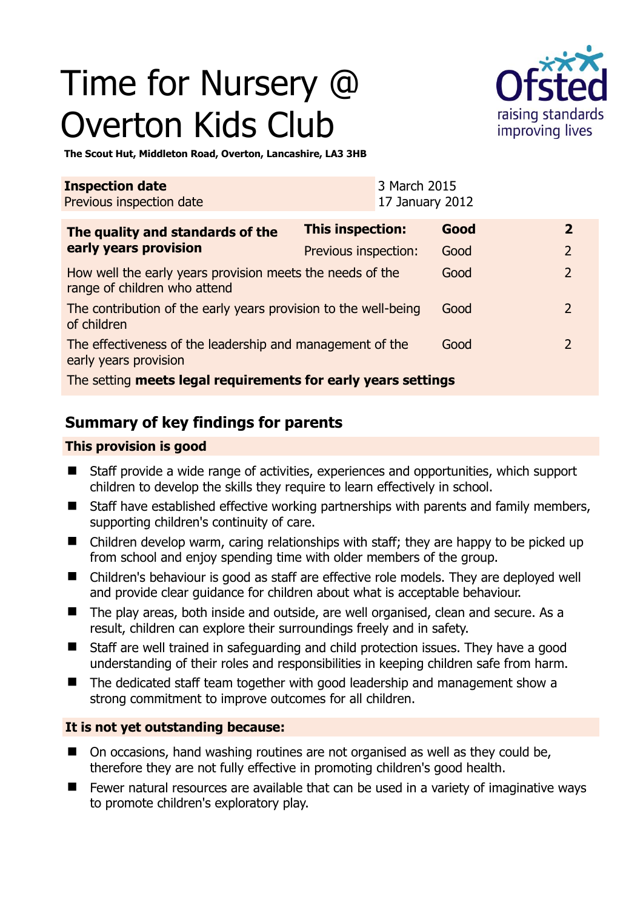# Time for Nursery @ Overton Kids Club



**The Scout Hut, Middleton Road, Overton, Lancashire, LA3 3HB** 

| <b>Inspection date</b><br>Previous inspection date                                        |                      | 3 March 2015<br>17 January 2012 |      |                |
|-------------------------------------------------------------------------------------------|----------------------|---------------------------------|------|----------------|
| The quality and standards of the<br>early years provision                                 | This inspection:     |                                 | Good | $\mathbf{2}$   |
|                                                                                           | Previous inspection: |                                 | Good | 2              |
| How well the early years provision meets the needs of the<br>range of children who attend |                      |                                 | Good | $\overline{2}$ |
| The contribution of the early years provision to the well-being<br>of children            |                      |                                 | Good | $\mathcal{L}$  |
| The effectiveness of the leadership and management of the<br>early years provision        |                      |                                 | Good | $\mathcal{P}$  |
| The setting meets legal requirements for early years settings                             |                      |                                 |      |                |

# **Summary of key findings for parents**

## **This provision is good**

- Staff provide a wide range of activities, experiences and opportunities, which support children to develop the skills they require to learn effectively in school.
- Staff have established effective working partnerships with parents and family members, supporting children's continuity of care.
- Children develop warm, caring relationships with staff; they are happy to be picked up from school and enjoy spending time with older members of the group.
- Children's behaviour is good as staff are effective role models. They are deployed well and provide clear guidance for children about what is acceptable behaviour.
- The play areas, both inside and outside, are well organised, clean and secure. As a result, children can explore their surroundings freely and in safety.
- Staff are well trained in safeguarding and child protection issues. They have a good understanding of their roles and responsibilities in keeping children safe from harm.
- The dedicated staff team together with good leadership and management show a strong commitment to improve outcomes for all children.

### **It is not yet outstanding because:**

- On occasions, hand washing routines are not organised as well as they could be, therefore they are not fully effective in promoting children's good health.
- Fewer natural resources are available that can be used in a variety of imaginative ways to promote children's exploratory play.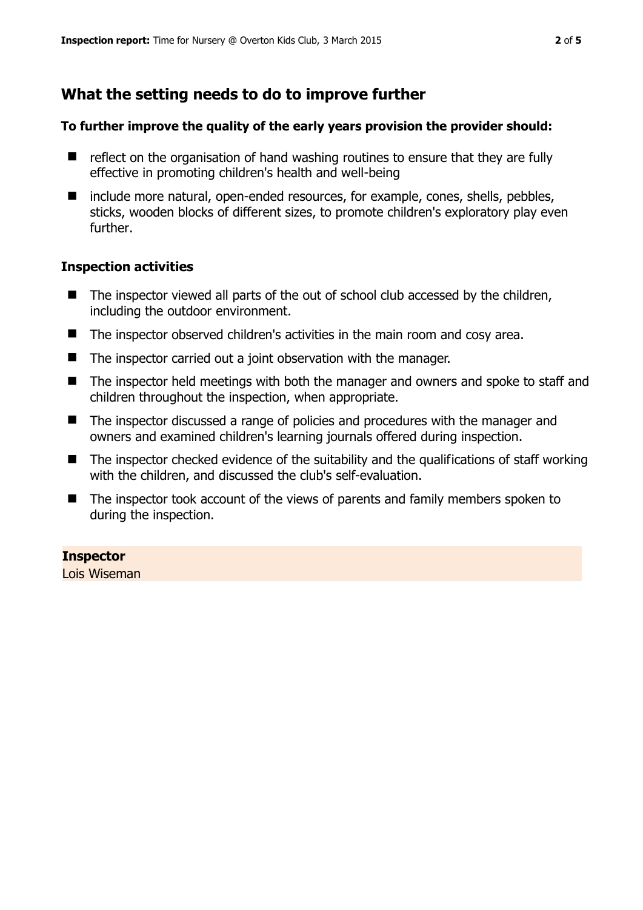# **What the setting needs to do to improve further**

## **To further improve the quality of the early years provision the provider should:**

- $\blacksquare$  reflect on the organisation of hand washing routines to ensure that they are fully effective in promoting children's health and well-being
- $\blacksquare$  include more natural, open-ended resources, for example, cones, shells, pebbles, sticks, wooden blocks of different sizes, to promote children's exploratory play even further.

### **Inspection activities**

- $\blacksquare$  The inspector viewed all parts of the out of school club accessed by the children, including the outdoor environment.
- The inspector observed children's activities in the main room and cosy area.
- The inspector carried out a joint observation with the manager.
- The inspector held meetings with both the manager and owners and spoke to staff and children throughout the inspection, when appropriate.
- The inspector discussed a range of policies and procedures with the manager and owners and examined children's learning journals offered during inspection.
- $\blacksquare$  The inspector checked evidence of the suitability and the qualifications of staff working with the children, and discussed the club's self-evaluation.
- The inspector took account of the views of parents and family members spoken to during the inspection.

# **Inspector**

Lois Wiseman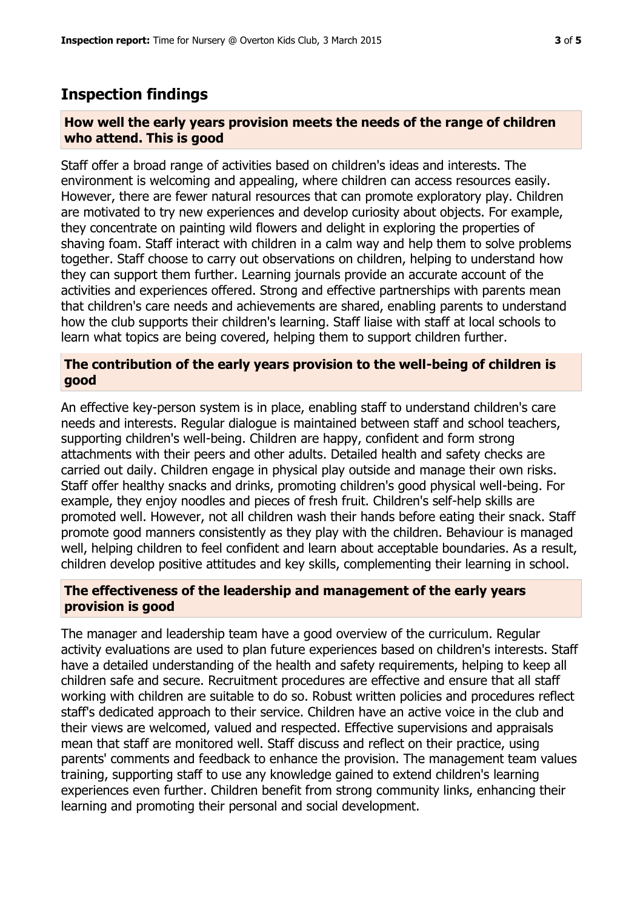# **Inspection findings**

## **How well the early years provision meets the needs of the range of children who attend. This is good**

Staff offer a broad range of activities based on children's ideas and interests. The environment is welcoming and appealing, where children can access resources easily. However, there are fewer natural resources that can promote exploratory play. Children are motivated to try new experiences and develop curiosity about objects. For example, they concentrate on painting wild flowers and delight in exploring the properties of shaving foam. Staff interact with children in a calm way and help them to solve problems together. Staff choose to carry out observations on children, helping to understand how they can support them further. Learning journals provide an accurate account of the activities and experiences offered. Strong and effective partnerships with parents mean that children's care needs and achievements are shared, enabling parents to understand how the club supports their children's learning. Staff liaise with staff at local schools to learn what topics are being covered, helping them to support children further.

## **The contribution of the early years provision to the well-being of children is good**

An effective key-person system is in place, enabling staff to understand children's care needs and interests. Regular dialogue is maintained between staff and school teachers, supporting children's well-being. Children are happy, confident and form strong attachments with their peers and other adults. Detailed health and safety checks are carried out daily. Children engage in physical play outside and manage their own risks. Staff offer healthy snacks and drinks, promoting children's good physical well-being. For example, they enjoy noodles and pieces of fresh fruit. Children's self-help skills are promoted well. However, not all children wash their hands before eating their snack. Staff promote good manners consistently as they play with the children. Behaviour is managed well, helping children to feel confident and learn about acceptable boundaries. As a result, children develop positive attitudes and key skills, complementing their learning in school.

# **The effectiveness of the leadership and management of the early years provision is good**

The manager and leadership team have a good overview of the curriculum. Regular activity evaluations are used to plan future experiences based on children's interests. Staff have a detailed understanding of the health and safety requirements, helping to keep all children safe and secure. Recruitment procedures are effective and ensure that all staff working with children are suitable to do so. Robust written policies and procedures reflect staff's dedicated approach to their service. Children have an active voice in the club and their views are welcomed, valued and respected. Effective supervisions and appraisals mean that staff are monitored well. Staff discuss and reflect on their practice, using parents' comments and feedback to enhance the provision. The management team values training, supporting staff to use any knowledge gained to extend children's learning experiences even further. Children benefit from strong community links, enhancing their learning and promoting their personal and social development.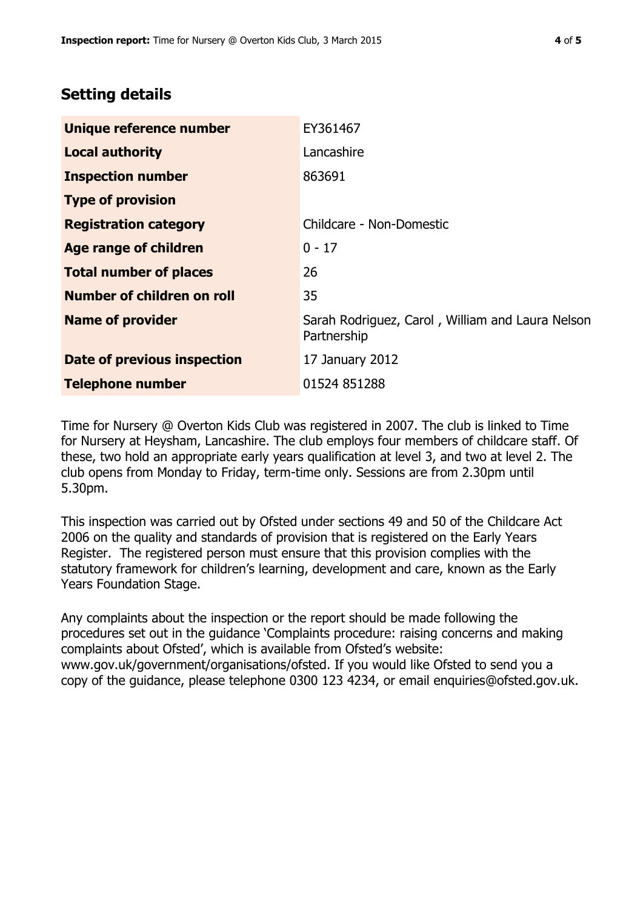# **Setting details**

| Unique reference number       | EY361467                                                        |
|-------------------------------|-----------------------------------------------------------------|
| <b>Local authority</b>        | Lancashire                                                      |
| <b>Inspection number</b>      | 863691                                                          |
| <b>Type of provision</b>      |                                                                 |
| <b>Registration category</b>  | Childcare - Non-Domestic                                        |
| Age range of children         | $0 - 17$                                                        |
| <b>Total number of places</b> | 26                                                              |
| Number of children on roll    | 35                                                              |
| <b>Name of provider</b>       | Sarah Rodriguez, Carol, William and Laura Nelson<br>Partnership |
| Date of previous inspection   | 17 January 2012                                                 |
| <b>Telephone number</b>       | 01524 851288                                                    |

Time for Nursery @ Overton Kids Club was registered in 2007. The club is linked to Time for Nursery at Heysham, Lancashire. The club employs four members of childcare staff. Of these, two hold an appropriate early years qualification at level 3, and two at level 2. The club opens from Monday to Friday, term-time only. Sessions are from 2.30pm until 5.30pm.

This inspection was carried out by Ofsted under sections 49 and 50 of the Childcare Act 2006 on the quality and standards of provision that is registered on the Early Years Register. The registered person must ensure that this provision complies with the statutory framework for children's learning, development and care, known as the Early Years Foundation Stage.

Any complaints about the inspection or the report should be made following the procedures set out in the guidance 'Complaints procedure: raising concerns and making complaints about Ofsted', which is available from Ofsted's website: www.gov.uk/government/organisations/ofsted. If you would like Ofsted to send you a copy of the guidance, please telephone 0300 123 4234, or email enquiries@ofsted.gov.uk.